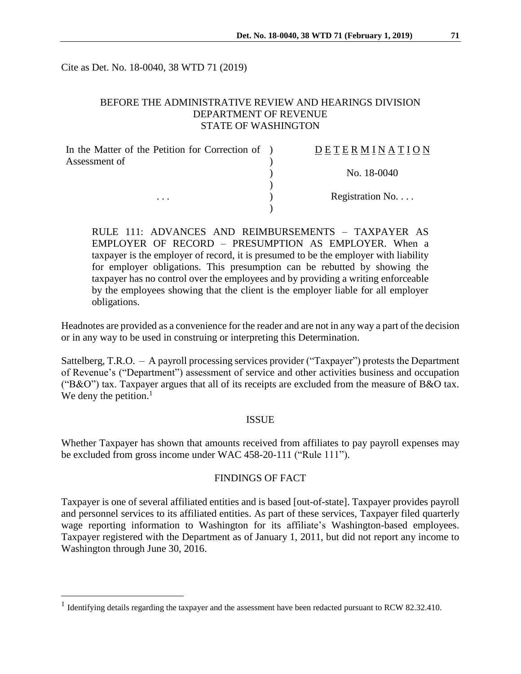Cite as Det. No. 18-0040, 38 WTD 71 (2019)

### BEFORE THE ADMINISTRATIVE REVIEW AND HEARINGS DIVISION DEPARTMENT OF REVENUE STATE OF WASHINGTON

| In the Matter of the Petition for Correction of ) | DETERMINATION   |
|---------------------------------------------------|-----------------|
| Assessment of                                     |                 |
|                                                   | No. 18-0040     |
|                                                   |                 |
| $\cdots$                                          | Registration No |
|                                                   |                 |

RULE 111: ADVANCES AND REIMBURSEMENTS – TAXPAYER AS EMPLOYER OF RECORD – PRESUMPTION AS EMPLOYER. When a taxpayer is the employer of record, it is presumed to be the employer with liability for employer obligations. This presumption can be rebutted by showing the taxpayer has no control over the employees and by providing a writing enforceable by the employees showing that the client is the employer liable for all employer obligations.

Headnotes are provided as a convenience for the reader and are not in any way a part of the decision or in any way to be used in construing or interpreting this Determination.

Sattelberg, T.R.O. – A payroll processing services provider ("Taxpayer") protests the Department of Revenue's ("Department") assessment of service and other activities business and occupation ("B&O") tax. Taxpayer argues that all of its receipts are excluded from the measure of B&O tax. We deny the petition. $<sup>1</sup>$ </sup>

#### ISSUE

Whether Taxpayer has shown that amounts received from affiliates to pay payroll expenses may be excluded from gross income under WAC 458-20-111 ("Rule 111").

#### FINDINGS OF FACT

Taxpayer is one of several affiliated entities and is based [out-of-state]. Taxpayer provides payroll and personnel services to its affiliated entities. As part of these services, Taxpayer filed quarterly wage reporting information to Washington for its affiliate's Washington-based employees. Taxpayer registered with the Department as of January 1, 2011, but did not report any income to Washington through June 30, 2016.

 $\overline{a}$ 

<sup>&</sup>lt;sup>1</sup> Identifying details regarding the taxpayer and the assessment have been redacted pursuant to RCW 82.32.410.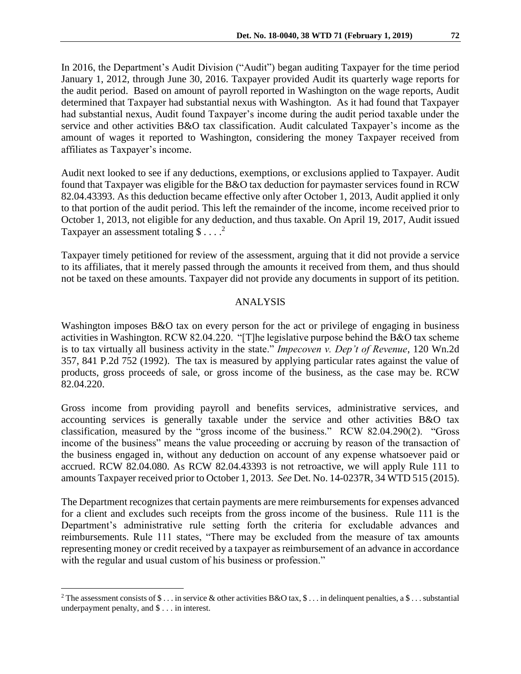In 2016, the Department's Audit Division ("Audit") began auditing Taxpayer for the time period January 1, 2012, through June 30, 2016. Taxpayer provided Audit its quarterly wage reports for the audit period. Based on amount of payroll reported in Washington on the wage reports, Audit determined that Taxpayer had substantial nexus with Washington. As it had found that Taxpayer had substantial nexus, Audit found Taxpayer's income during the audit period taxable under the service and other activities B&O tax classification. Audit calculated Taxpayer's income as the amount of wages it reported to Washington, considering the money Taxpayer received from affiliates as Taxpayer's income.

Audit next looked to see if any deductions, exemptions, or exclusions applied to Taxpayer. Audit found that Taxpayer was eligible for the B&O tax deduction for paymaster services found in RCW 82.04.43393. As this deduction became effective only after October 1, 2013, Audit applied it only to that portion of the audit period. This left the remainder of the income, income received prior to October 1, 2013, not eligible for any deduction, and thus taxable. On April 19, 2017, Audit issued Taxpayer an assessment totaling  $\$\dots^2$ 

Taxpayer timely petitioned for review of the assessment, arguing that it did not provide a service to its affiliates, that it merely passed through the amounts it received from them, and thus should not be taxed on these amounts. Taxpayer did not provide any documents in support of its petition.

## ANALYSIS

Washington imposes B&O tax on every person for the act or privilege of engaging in business activities in Washington. RCW 82.04.220. "[T]he legislative purpose behind the B&O tax scheme is to tax virtually all business activity in the state." *Impecoven v. Dep't of Revenue*, 120 Wn.2d 357, 841 P.2d 752 (1992). The tax is measured by applying particular rates against the value of products, gross proceeds of sale, or gross income of the business, as the case may be. RCW 82.04.220.

Gross income from providing payroll and benefits services, administrative services, and accounting services is generally taxable under the service and other activities B&O tax classification, measured by the "gross income of the business." RCW 82.04.290(2). "Gross income of the business" means the value proceeding or accruing by reason of the transaction of the business engaged in, without any deduction on account of any expense whatsoever paid or accrued. RCW 82.04.080. As RCW 82.04.43393 is not retroactive, we will apply Rule 111 to amounts Taxpayer received prior to October 1, 2013. *See* Det. No. 14-0237R, 34 WTD 515 (2015).

The Department recognizes that certain payments are mere reimbursements for expenses advanced for a client and excludes such receipts from the gross income of the business. Rule 111 is the Department's administrative rule setting forth the criteria for excludable advances and reimbursements. Rule 111 states, "There may be excluded from the measure of tax amounts representing money or credit received by a taxpayer as reimbursement of an advance in accordance with the regular and usual custom of his business or profession."

 $\overline{a}$ 

<sup>&</sup>lt;sup>2</sup> The assessment consists of \$ ... in service & other activities B&O tax, \$ ... in delinquent penalties, a \$ ... substantial underpayment penalty, and \$ . . . in interest.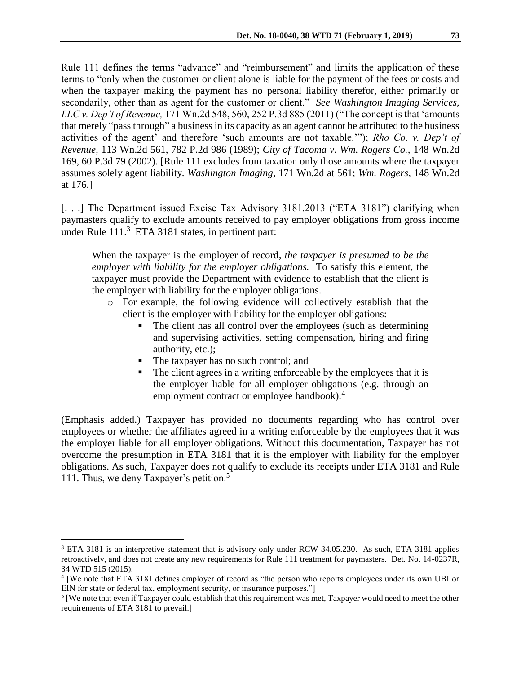Rule 111 defines the terms "advance" and "reimbursement" and limits the application of these terms to "only when the customer or client alone is liable for the payment of the fees or costs and when the taxpayer making the payment has no personal liability therefor, either primarily or secondarily, other than as agent for the customer or client." *See Washington Imaging Services, LLC v. Dep't of Revenue,* 171 Wn.2d 548, 560, 252 P.3d 885 (2011) ("The concept is that 'amounts that merely "pass through" a business in its capacity as an agent cannot be attributed to the business activities of the agent' and therefore 'such amounts are not taxable.'"); *Rho Co. v. Dep't of Revenue,* 113 Wn.2d 561, 782 P.2d 986 (1989); *City of Tacoma v. Wm. Rogers Co.,* 148 Wn.2d 169, 60 P.3d 79 (2002). [Rule 111 excludes from taxation only those amounts where the taxpayer assumes solely agent liability. *Washington Imaging*, 171 Wn.2d at 561; *Wm. Rogers*, 148 Wn.2d at 176.]

[. . .] The Department issued Excise Tax Advisory 3181.2013 ("ETA 3181") clarifying when paymasters qualify to exclude amounts received to pay employer obligations from gross income under Rule 111.<sup>3</sup> ETA 3181 states, in pertinent part:

When the taxpayer is the employer of record*, the taxpayer is presumed to be the employer with liability for the employer obligations.* To satisfy this element, the taxpayer must provide the Department with evidence to establish that the client is the employer with liability for the employer obligations.

- o For example, the following evidence will collectively establish that the client is the employer with liability for the employer obligations:
	- The client has all control over the employees (such as determining and supervising activities, setting compensation, hiring and firing authority, etc.);
	- The taxpayer has no such control; and

 $\overline{a}$ 

 The client agrees in a writing enforceable by the employees that it is the employer liable for all employer obligations (e.g. through an employment contract or employee handbook).<sup>4</sup>

(Emphasis added.) Taxpayer has provided no documents regarding who has control over employees or whether the affiliates agreed in a writing enforceable by the employees that it was the employer liable for all employer obligations. Without this documentation, Taxpayer has not overcome the presumption in ETA 3181 that it is the employer with liability for the employer obligations. As such, Taxpayer does not qualify to exclude its receipts under ETA 3181 and Rule 111. Thus, we deny Taxpayer's petition.<sup>5</sup>

<sup>&</sup>lt;sup>3</sup> ETA 3181 is an interpretive statement that is advisory only under RCW 34.05.230. As such, ETA 3181 applies retroactively, and does not create any new requirements for Rule 111 treatment for paymasters. Det. No. 14-0237R, 34 WTD 515 (2015).

<sup>4</sup> [We note that ETA 3181 defines employer of record as "the person who reports employees under its own UBI or EIN for state or federal tax, employment security, or insurance purposes."]

 $<sup>5</sup>$  [We note that even if Taxpayer could establish that this requirement was met, Taxpayer would need to meet the other</sup> requirements of ETA 3181 to prevail.]